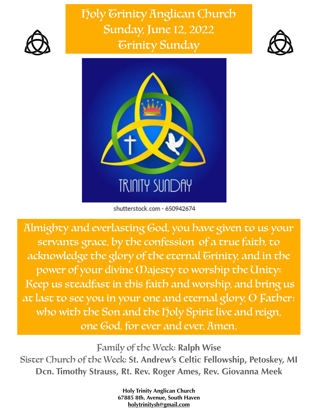

Holy Trinity Anglican Church Sunday, June 12, 2022 Trinity Sunday





shutterstock.com · 650942674

Almighty and everlasting God, you have given to us your servants grace, by the confession of a true faith, to acknowledge the glory of the eternal Grinity, and in the power of your divine Majesty to worship the Unity: Keep us steadfast in this faith and worship, and bring us at last to see you in your one and eternal glory, O Father; who with the Son and the holy Spirit live and reign, one God, for ever and ever. Amen.

Family of the Week: **Ralph Wise** Sister Church of the Week: **St. Andrew's Celtic Fellowship, Petoskey, MI Dcn. Timothy Strauss, Rt. Rev. Roger Ames, Rev. Giovanna Meek**

> **Holy Trinity Anglican Church 67885 8th. Avenue, South Haven [holytrinitysh@gmail.com](mailto:holytrinitysh@gmail.com)**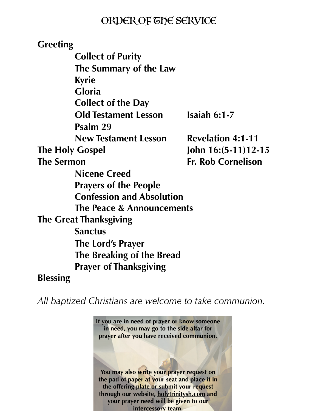## ORDER OF THE SERVICE

**Greeting Collect of Purity The Summary of the Law Kyrie Gloria Collect of the Day Old Testament Lesson Isaiah 6:1-7 Psalm 29 New Testament Lesson Revelation 4:1-11 The Holy Gospel John 16:(5-11)12-15 The Sermon Fr. Rob Cornelison Nicene Creed Prayers of the People Confession and Absolution The Peace & Announcements The Great Thanksgiving Sanctus The Lord's Prayer The Breaking of the Bread Prayer of Thanksgiving Blessing** 

*All baptized Christians are welcome to take communion.*

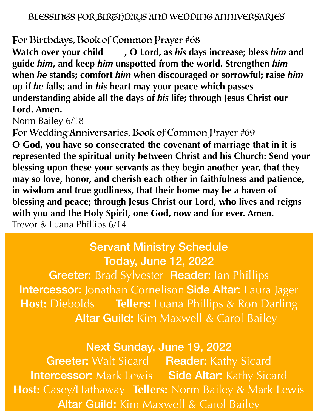## For Birthdays, Book of Common Prayer #68

**Watch over your child \_\_\_\_, O Lord, as** *his* **days increase; bless** *him* **and guide** *him***, and keep** *him* **unspotted from the world. Strengthen** *him*  **when** *he* **stands; comfort** *him* **when discouraged or sorrowful; raise** *him*  **up if** *he* **falls; and in** *his* **heart may your peace which passes understanding abide all the days of** *his* **life; through Jesus Christ our Lord. Amen.**

Norm Bailey 6/18

For Wedding Anniversaries, Book of Common Prayer #69 **O God, you have so consecrated the covenant of marriage that in it is represented the spiritual unity between Christ and his Church: Send your blessing upon these your servants as they begin another year, that they may so love, honor, and cherish each other in faithfulness and patience, in wisdom and true godliness, that their home may be a haven of blessing and peace; through Jesus Christ our Lord, who lives and reigns with you and the Holy Spirit, one God, now and for ever. Amen.** Trevor & Luana Phillips 6/14

## Servant Ministry Schedule Today, June 12, 2022

Greeter: Brad Sylvester Reader: Ian Phillips Intercessor: Jonathan Cornelison Side Altar: Laura Jager **Host:** Diebolds **Tellers:** Luana Phillips & Ron Darling Altar Guild: Kim Maxwell & Carol Bailey

## Next Sunday, June 19, 2022

Greeter: Walt Sicard Reader: Kathy Sicard Intercessor: Mark Lewis Side Altar: Kathy Sicard **Host:** Casey/Hathaway **Tellers:** Norm Bailey & Mark Lewis **Altar Guild: Kim Maxwell & Carol Bailey**